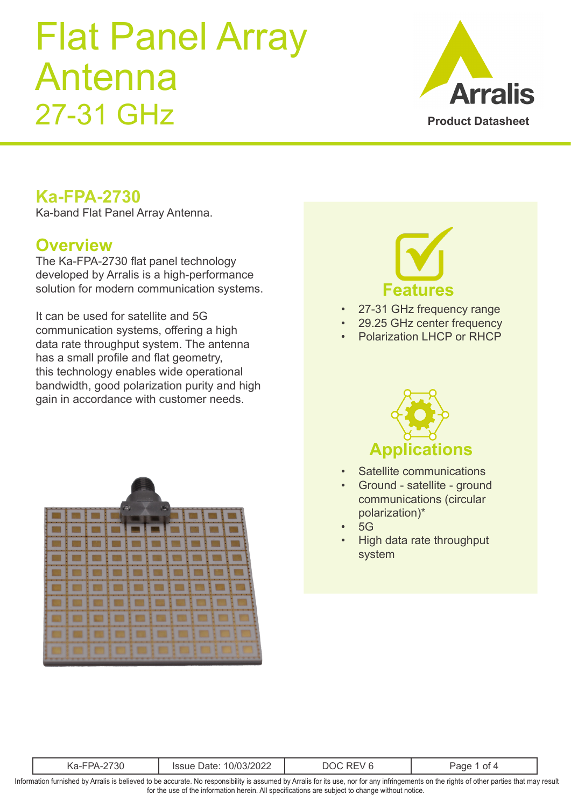

#### **Ka-FPA-2730**

Ka-band Flat Panel Array Antenna.

#### **Overview**

The Ka-FPA-2730 flat panel technology developed by Arralis is a high-performance solution for modern communication systems.

It can be used for satellite and 5G communication systems, offering a high data rate throughput system. The antenna has a small profile and flat geometry, this technology enables wide operational bandwidth, good polarization purity and high gain in accordance with customer needs.





- 27-31 GHz frequency range
- 29.25 GHz center frequency
- Polarization LHCP or RHCP



- Satellite communications
- Ground satellite ground communications (circular polarization)\*
- 5G
- High data rate throughput system

| н<br>$\cdots$<br>-JU<br>$1 - 11$<br>.<br>`\u |
|----------------------------------------------|
|----------------------------------------------|

Information furnished by Arralis is believed to be accurate. No responsibility is assumed by Arralis for its use, nor for any infringements on the rights of other parties that may result for the use of the information herein. All specifications are subject to change without notice.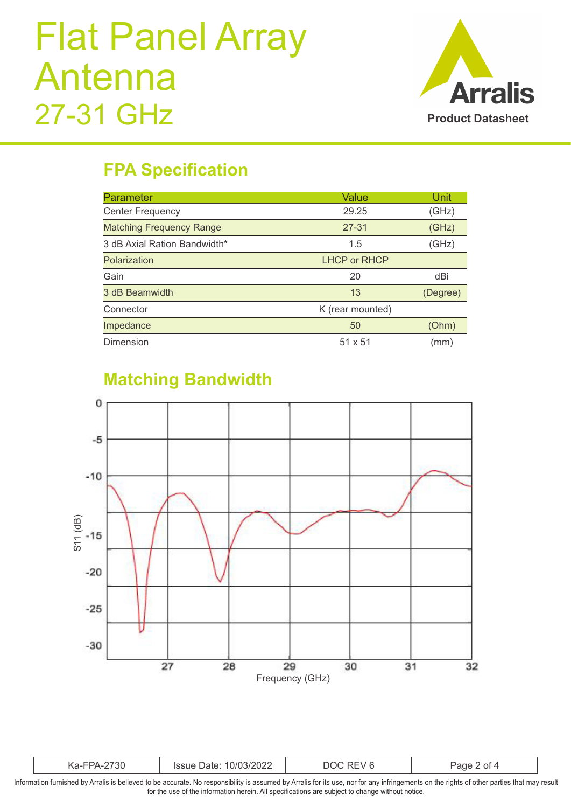

### **FPA Specification**

| <b>Parameter</b>                | Value               | Unit     |
|---------------------------------|---------------------|----------|
| <b>Center Frequency</b>         | 29.25<br>(GHz)      |          |
| <b>Matching Frequency Range</b> | $27 - 31$           | (GHz)    |
| 3 dB Axial Ration Bandwidth*    | 1.5                 | (GHz)    |
| Polarization                    | <b>LHCP or RHCP</b> |          |
| Gain                            | 20                  | dBi      |
| 3 dB Beamwidth                  | 13                  | (Degree) |
| Connector                       | K (rear mounted)    |          |
| Impedance                       | 50                  | (Ohm)    |
| Dimension                       | $51 \times 51$      | (mm)     |

### **Matching Bandwidth**



| w<br>$-1-1$<br>w |
|------------------|
|------------------|

Information furnished by Arralis is believed to be accurate. No responsibility is assumed by Arralis for its use, nor for any infringements on the rights of other parties that may result for the use of the information herein. All specifications are subject to change without notice.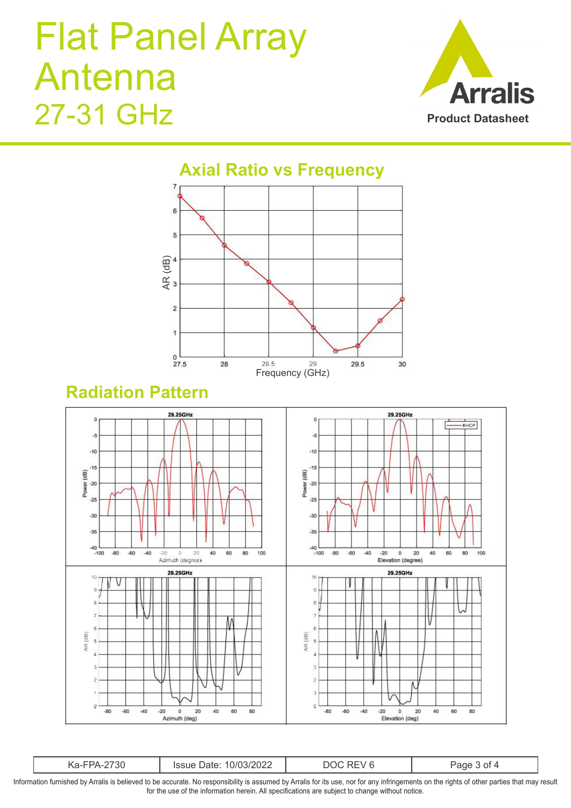$\overline{2}$ 

 $\overline{1}$ 

 $_{27.5}^{0}$ 





Frequency (GHz)

29

29.5

30

28.5

28

#### **Radiation Pattern**



| ∵ou<br>.\d- | (1/(1)3/2)<br>----<br>)ate<br>UZZ | _____<br>$\sim$ |  |
|-------------|-----------------------------------|-----------------|--|
|-------------|-----------------------------------|-----------------|--|

Information furnished by Arralis is believed to be accurate. No responsibility is assumed by Arralis for its use, nor for any infringements on the rights of other parties that may result for the use of the information herein. All specifications are subject to change without notice.